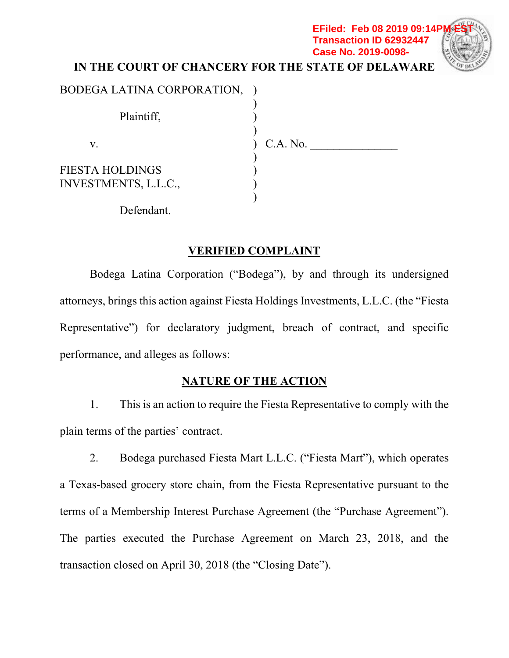# **IN THE COURT OF CHANCERY FOR THE STATE OF DELAWARE**  BODEGA LATINA CORPORATION, ) **EFiled: Feb 08 2019 09:14P Transaction ID 62932447 Case No. 2019-0098-**

| Plaintiff,             |          |  |
|------------------------|----------|--|
|                        | C.A. No. |  |
| V.                     |          |  |
| <b>FIESTA HOLDINGS</b> |          |  |
| INVESTMENTS, L.L.C.,   |          |  |
|                        |          |  |
| Defendant.             |          |  |

# **VERIFIED COMPLAINT**

Bodega Latina Corporation ("Bodega"), by and through its undersigned attorneys, brings this action against Fiesta Holdings Investments, L.L.C. (the "Fiesta Representative") for declaratory judgment, breach of contract, and specific performance, and alleges as follows:

# **NATURE OF THE ACTION**

1. This is an action to require the Fiesta Representative to comply with the plain terms of the parties' contract.

2. Bodega purchased Fiesta Mart L.L.C. ("Fiesta Mart"), which operates a Texas-based grocery store chain, from the Fiesta Representative pursuant to the terms of a Membership Interest Purchase Agreement (the "Purchase Agreement"). The parties executed the Purchase Agreement on March 23, 2018, and the transaction closed on April 30, 2018 (the "Closing Date").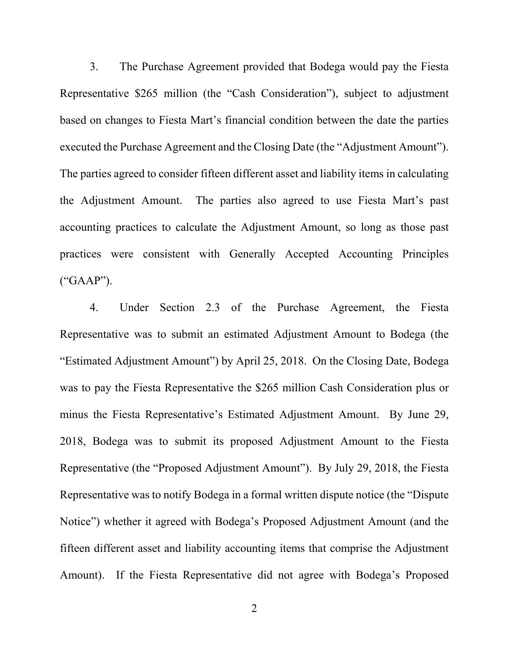3. The Purchase Agreement provided that Bodega would pay the Fiesta Representative \$265 million (the "Cash Consideration"), subject to adjustment based on changes to Fiesta Mart's financial condition between the date the parties executed the Purchase Agreement and the Closing Date (the "Adjustment Amount"). The parties agreed to consider fifteen different asset and liability items in calculating the Adjustment Amount. The parties also agreed to use Fiesta Mart's past accounting practices to calculate the Adjustment Amount, so long as those past practices were consistent with Generally Accepted Accounting Principles ("GAAP").

4. Under Section 2.3 of the Purchase Agreement, the Fiesta Representative was to submit an estimated Adjustment Amount to Bodega (the "Estimated Adjustment Amount") by April 25, 2018. On the Closing Date, Bodega was to pay the Fiesta Representative the \$265 million Cash Consideration plus or minus the Fiesta Representative's Estimated Adjustment Amount. By June 29, 2018, Bodega was to submit its proposed Adjustment Amount to the Fiesta Representative (the "Proposed Adjustment Amount"). By July 29, 2018, the Fiesta Representative was to notify Bodega in a formal written dispute notice (the "Dispute Notice") whether it agreed with Bodega's Proposed Adjustment Amount (and the fifteen different asset and liability accounting items that comprise the Adjustment Amount). If the Fiesta Representative did not agree with Bodega's Proposed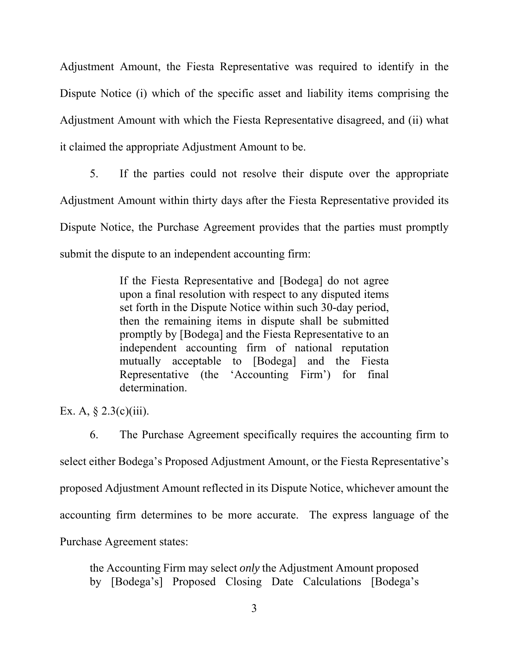Adjustment Amount, the Fiesta Representative was required to identify in the Dispute Notice (i) which of the specific asset and liability items comprising the Adjustment Amount with which the Fiesta Representative disagreed, and (ii) what it claimed the appropriate Adjustment Amount to be.

5. If the parties could not resolve their dispute over the appropriate Adjustment Amount within thirty days after the Fiesta Representative provided its Dispute Notice, the Purchase Agreement provides that the parties must promptly submit the dispute to an independent accounting firm:

> If the Fiesta Representative and [Bodega] do not agree upon a final resolution with respect to any disputed items set forth in the Dispute Notice within such 30-day period, then the remaining items in dispute shall be submitted promptly by [Bodega] and the Fiesta Representative to an independent accounting firm of national reputation mutually acceptable to [Bodega] and the Fiesta Representative (the 'Accounting Firm') for final determination.

Ex. A,  $\S$  2.3(c)(iii).

6. The Purchase Agreement specifically requires the accounting firm to select either Bodega's Proposed Adjustment Amount, or the Fiesta Representative's proposed Adjustment Amount reflected in its Dispute Notice, whichever amount the accounting firm determines to be more accurate. The express language of the Purchase Agreement states:

the Accounting Firm may select *only* the Adjustment Amount proposed by [Bodega's] Proposed Closing Date Calculations [Bodega's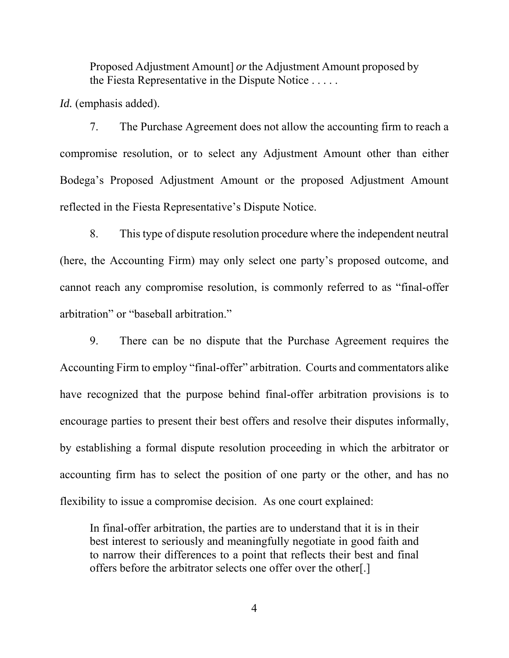Proposed Adjustment Amount] *or* the Adjustment Amount proposed by the Fiesta Representative in the Dispute Notice . . . . .

*Id.* (emphasis added).

7. The Purchase Agreement does not allow the accounting firm to reach a compromise resolution, or to select any Adjustment Amount other than either Bodega's Proposed Adjustment Amount or the proposed Adjustment Amount reflected in the Fiesta Representative's Dispute Notice.

8. This type of dispute resolution procedure where the independent neutral (here, the Accounting Firm) may only select one party's proposed outcome, and cannot reach any compromise resolution, is commonly referred to as "final-offer arbitration" or "baseball arbitration."

9. There can be no dispute that the Purchase Agreement requires the Accounting Firm to employ "final-offer" arbitration. Courts and commentators alike have recognized that the purpose behind final-offer arbitration provisions is to encourage parties to present their best offers and resolve their disputes informally, by establishing a formal dispute resolution proceeding in which the arbitrator or accounting firm has to select the position of one party or the other, and has no flexibility to issue a compromise decision. As one court explained:

In final-offer arbitration, the parties are to understand that it is in their best interest to seriously and meaningfully negotiate in good faith and to narrow their differences to a point that reflects their best and final offers before the arbitrator selects one offer over the other[.]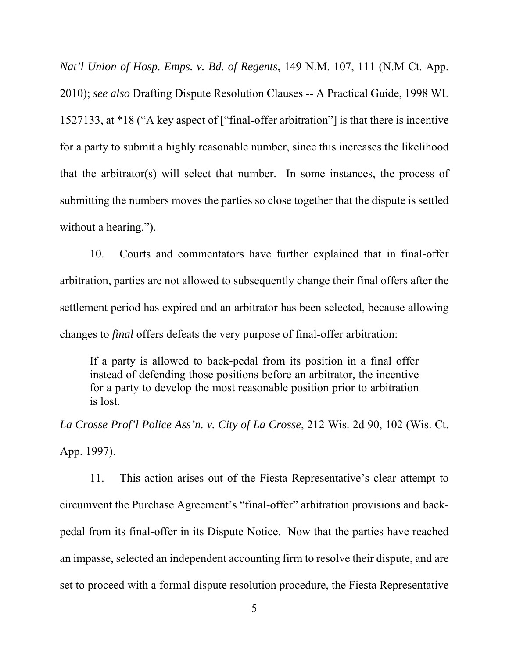*Nat'l Union of Hosp. Emps. v. Bd. of Regents*, 149 N.M. 107, 111 (N.M Ct. App. 2010); *see also* Drafting Dispute Resolution Clauses -- A Practical Guide, 1998 WL 1527133, at \*18 ("A key aspect of ["final-offer arbitration"] is that there is incentive for a party to submit a highly reasonable number, since this increases the likelihood that the arbitrator(s) will select that number. In some instances, the process of submitting the numbers moves the parties so close together that the dispute is settled without a hearing.").

10. Courts and commentators have further explained that in final-offer arbitration, parties are not allowed to subsequently change their final offers after the settlement period has expired and an arbitrator has been selected, because allowing changes to *final* offers defeats the very purpose of final-offer arbitration:

If a party is allowed to back-pedal from its position in a final offer instead of defending those positions before an arbitrator, the incentive for a party to develop the most reasonable position prior to arbitration is lost.

*La Crosse Prof'l Police Ass'n. v. City of La Crosse*, 212 Wis. 2d 90, 102 (Wis. Ct. App. 1997).

11. This action arises out of the Fiesta Representative's clear attempt to circumvent the Purchase Agreement's "final-offer" arbitration provisions and backpedal from its final-offer in its Dispute Notice. Now that the parties have reached an impasse, selected an independent accounting firm to resolve their dispute, and are set to proceed with a formal dispute resolution procedure, the Fiesta Representative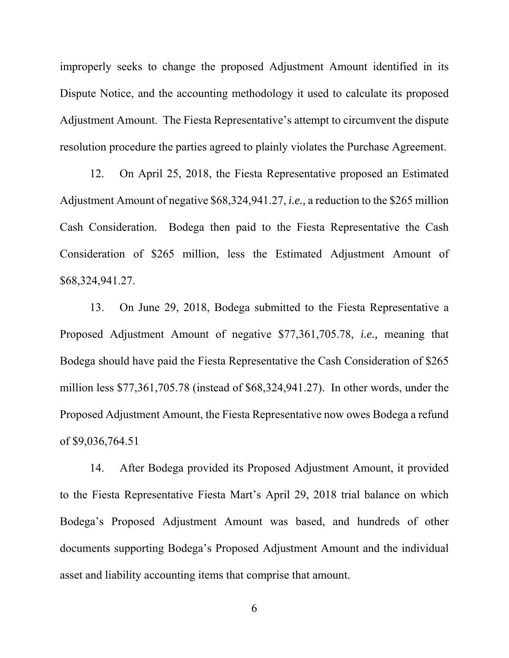improperly seeks to change the proposed Adjustment Amount identified in its Dispute Notice, and the accounting methodology it used to calculate its proposed Adjustment Amount. The Fiesta Representative's attempt to circumvent the dispute resolution procedure the parties agreed to plainly violates the Purchase Agreement.

12. On April 25, 2018, the Fiesta Representative proposed an Estimated Adjustment Amount of negative \$68,324,941.27, *i.e.,* a reduction to the \$265 million Cash Consideration. Bodega then paid to the Fiesta Representative the Cash Consideration of \$265 million, less the Estimated Adjustment Amount of \$68,324,941.27.

13. On June 29, 2018, Bodega submitted to the Fiesta Representative a Proposed Adjustment Amount of negative \$77,361,705.78, *i.e.,* meaning that Bodega should have paid the Fiesta Representative the Cash Consideration of \$265 million less \$77,361,705.78 (instead of \$68,324,941.27). In other words, under the Proposed Adjustment Amount, the Fiesta Representative now owes Bodega a refund of \$9,036,764.51

14. After Bodega provided its Proposed Adjustment Amount, it provided to the Fiesta Representative Fiesta Mart's April 29, 2018 trial balance on which Bodega's Proposed Adjustment Amount was based, and hundreds of other documents supporting Bodega's Proposed Adjustment Amount and the individual asset and liability accounting items that comprise that amount.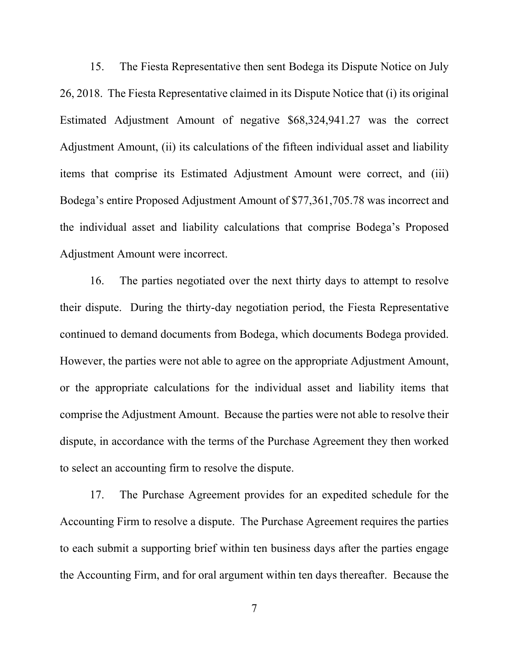15. The Fiesta Representative then sent Bodega its Dispute Notice on July 26, 2018. The Fiesta Representative claimed in its Dispute Notice that (i) its original Estimated Adjustment Amount of negative \$68,324,941.27 was the correct Adjustment Amount, (ii) its calculations of the fifteen individual asset and liability items that comprise its Estimated Adjustment Amount were correct, and (iii) Bodega's entire Proposed Adjustment Amount of \$77,361,705.78 was incorrect and the individual asset and liability calculations that comprise Bodega's Proposed Adjustment Amount were incorrect.

16. The parties negotiated over the next thirty days to attempt to resolve their dispute. During the thirty-day negotiation period, the Fiesta Representative continued to demand documents from Bodega, which documents Bodega provided. However, the parties were not able to agree on the appropriate Adjustment Amount, or the appropriate calculations for the individual asset and liability items that comprise the Adjustment Amount. Because the parties were not able to resolve their dispute, in accordance with the terms of the Purchase Agreement they then worked to select an accounting firm to resolve the dispute.

17. The Purchase Agreement provides for an expedited schedule for the Accounting Firm to resolve a dispute. The Purchase Agreement requires the parties to each submit a supporting brief within ten business days after the parties engage the Accounting Firm, and for oral argument within ten days thereafter. Because the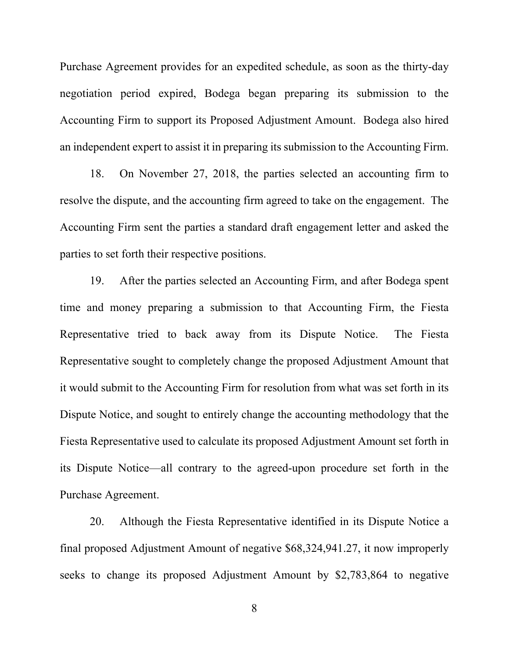Purchase Agreement provides for an expedited schedule, as soon as the thirty-day negotiation period expired, Bodega began preparing its submission to the Accounting Firm to support its Proposed Adjustment Amount. Bodega also hired an independent expert to assist it in preparing its submission to the Accounting Firm.

18. On November 27, 2018, the parties selected an accounting firm to resolve the dispute, and the accounting firm agreed to take on the engagement. The Accounting Firm sent the parties a standard draft engagement letter and asked the parties to set forth their respective positions.

19. After the parties selected an Accounting Firm, and after Bodega spent time and money preparing a submission to that Accounting Firm, the Fiesta Representative tried to back away from its Dispute Notice. The Fiesta Representative sought to completely change the proposed Adjustment Amount that it would submit to the Accounting Firm for resolution from what was set forth in its Dispute Notice, and sought to entirely change the accounting methodology that the Fiesta Representative used to calculate its proposed Adjustment Amount set forth in its Dispute Notice—all contrary to the agreed-upon procedure set forth in the Purchase Agreement.

20. Although the Fiesta Representative identified in its Dispute Notice a final proposed Adjustment Amount of negative \$68,324,941.27, it now improperly seeks to change its proposed Adjustment Amount by \$2,783,864 to negative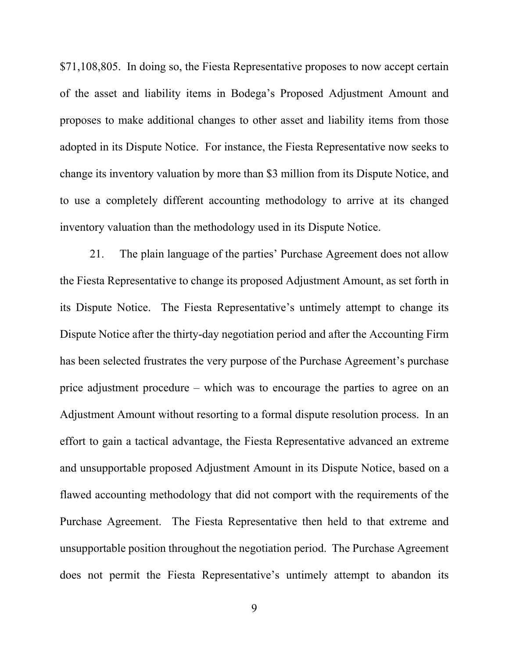\$71,108,805. In doing so, the Fiesta Representative proposes to now accept certain of the asset and liability items in Bodega's Proposed Adjustment Amount and proposes to make additional changes to other asset and liability items from those adopted in its Dispute Notice. For instance, the Fiesta Representative now seeks to change its inventory valuation by more than \$3 million from its Dispute Notice, and to use a completely different accounting methodology to arrive at its changed inventory valuation than the methodology used in its Dispute Notice.

21. The plain language of the parties' Purchase Agreement does not allow the Fiesta Representative to change its proposed Adjustment Amount, as set forth in its Dispute Notice. The Fiesta Representative's untimely attempt to change its Dispute Notice after the thirty-day negotiation period and after the Accounting Firm has been selected frustrates the very purpose of the Purchase Agreement's purchase price adjustment procedure – which was to encourage the parties to agree on an Adjustment Amount without resorting to a formal dispute resolution process. In an effort to gain a tactical advantage, the Fiesta Representative advanced an extreme and unsupportable proposed Adjustment Amount in its Dispute Notice, based on a flawed accounting methodology that did not comport with the requirements of the Purchase Agreement. The Fiesta Representative then held to that extreme and unsupportable position throughout the negotiation period. The Purchase Agreement does not permit the Fiesta Representative's untimely attempt to abandon its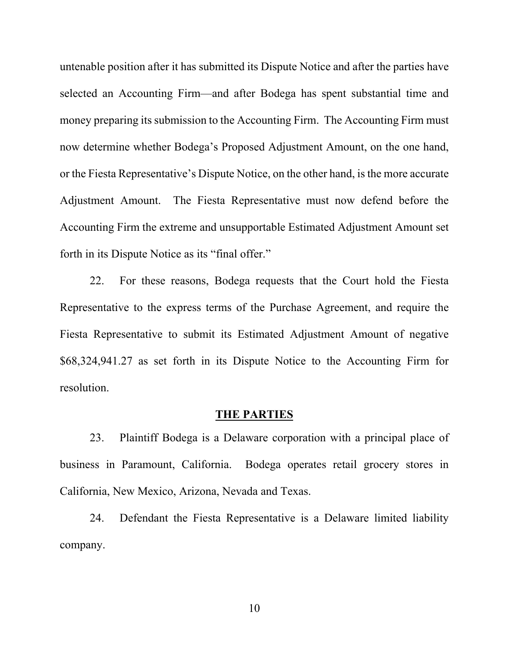untenable position after it has submitted its Dispute Notice and after the parties have selected an Accounting Firm—and after Bodega has spent substantial time and money preparing its submission to the Accounting Firm. The Accounting Firm must now determine whether Bodega's Proposed Adjustment Amount, on the one hand, or the Fiesta Representative's Dispute Notice, on the other hand, is the more accurate Adjustment Amount. The Fiesta Representative must now defend before the Accounting Firm the extreme and unsupportable Estimated Adjustment Amount set forth in its Dispute Notice as its "final offer."

22. For these reasons, Bodega requests that the Court hold the Fiesta Representative to the express terms of the Purchase Agreement, and require the Fiesta Representative to submit its Estimated Adjustment Amount of negative \$68,324,941.27 as set forth in its Dispute Notice to the Accounting Firm for resolution.

#### **THE PARTIES**

23. Plaintiff Bodega is a Delaware corporation with a principal place of business in Paramount, California. Bodega operates retail grocery stores in California, New Mexico, Arizona, Nevada and Texas.

24. Defendant the Fiesta Representative is a Delaware limited liability company.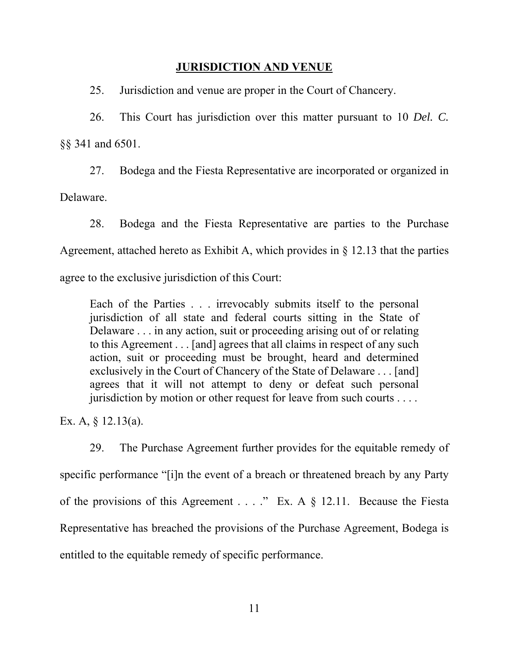#### **JURISDICTION AND VENUE**

25. Jurisdiction and venue are proper in the Court of Chancery.

26. This Court has jurisdiction over this matter pursuant to 10 *Del. C.* §§ 341 and 6501.

27. Bodega and the Fiesta Representative are incorporated or organized in Delaware.

28. Bodega and the Fiesta Representative are parties to the Purchase Agreement, attached hereto as Exhibit A, which provides in § 12.13 that the parties agree to the exclusive jurisdiction of this Court:

Each of the Parties . . . irrevocably submits itself to the personal jurisdiction of all state and federal courts sitting in the State of Delaware . . . in any action, suit or proceeding arising out of or relating to this Agreement . . . [and] agrees that all claims in respect of any such action, suit or proceeding must be brought, heard and determined exclusively in the Court of Chancery of the State of Delaware . . . [and] agrees that it will not attempt to deny or defeat such personal jurisdiction by motion or other request for leave from such courts . . . .

Ex. A, § 12.13(a).

29. The Purchase Agreement further provides for the equitable remedy of specific performance "[i]n the event of a breach or threatened breach by any Party of the provisions of this Agreement . . . ." Ex. A § 12.11. Because the Fiesta Representative has breached the provisions of the Purchase Agreement, Bodega is entitled to the equitable remedy of specific performance.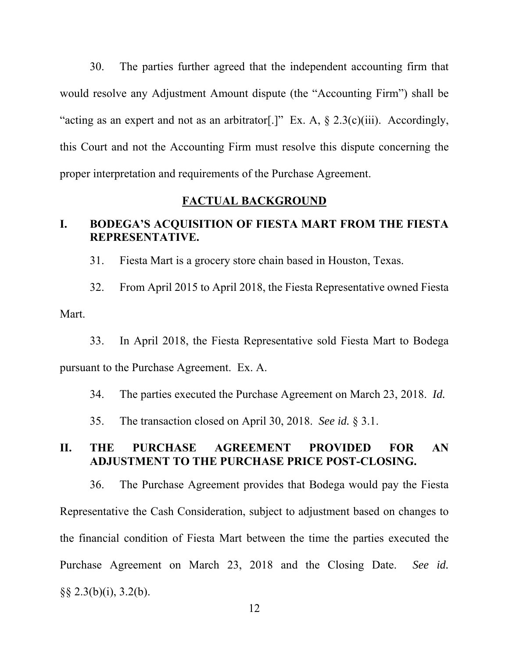30. The parties further agreed that the independent accounting firm that would resolve any Adjustment Amount dispute (the "Accounting Firm") shall be "acting as an expert and not as an arbitrator[.]" Ex. A,  $\S$  2.3(c)(iii). Accordingly, this Court and not the Accounting Firm must resolve this dispute concerning the proper interpretation and requirements of the Purchase Agreement.

#### **FACTUAL BACKGROUND**

### **I. BODEGA'S ACQUISITION OF FIESTA MART FROM THE FIESTA REPRESENTATIVE.**

31. Fiesta Mart is a grocery store chain based in Houston, Texas.

32. From April 2015 to April 2018, the Fiesta Representative owned Fiesta Mart.

33. In April 2018, the Fiesta Representative sold Fiesta Mart to Bodega pursuant to the Purchase Agreement. Ex. A.

34. The parties executed the Purchase Agreement on March 23, 2018. *Id.*

35. The transaction closed on April 30, 2018. *See id.* § 3.1.

### **II. THE PURCHASE AGREEMENT PROVIDED FOR AN ADJUSTMENT TO THE PURCHASE PRICE POST-CLOSING.**

36. The Purchase Agreement provides that Bodega would pay the Fiesta Representative the Cash Consideration, subject to adjustment based on changes to the financial condition of Fiesta Mart between the time the parties executed the Purchase Agreement on March 23, 2018 and the Closing Date. *See id.*  $\S\S 2.3(b)(i)$ , 3.2(b).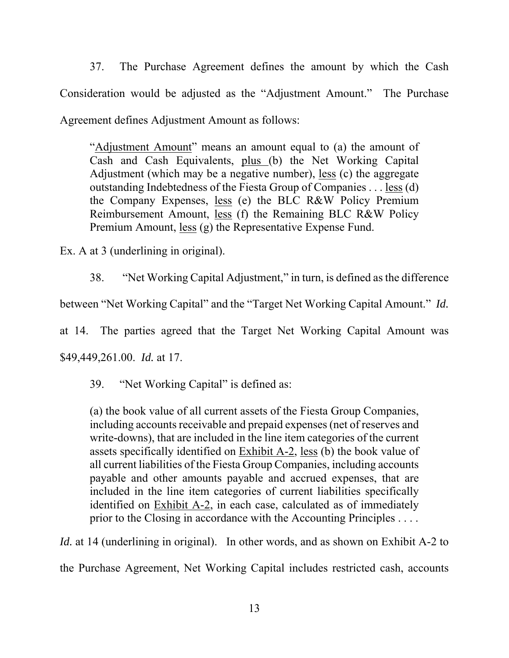37. The Purchase Agreement defines the amount by which the Cash Consideration would be adjusted as the "Adjustment Amount." The Purchase Agreement defines Adjustment Amount as follows:

"Adjustment Amount" means an amount equal to (a) the amount of Cash and Cash Equivalents, plus (b) the Net Working Capital Adjustment (which may be a negative number), less (c) the aggregate outstanding Indebtedness of the Fiesta Group of Companies . . . less (d) the Company Expenses, less (e) the BLC R&W Policy Premium Reimbursement Amount, less (f) the Remaining BLC R&W Policy Premium Amount, less (g) the Representative Expense Fund.

Ex. A at 3 (underlining in original).

38. "Net Working Capital Adjustment," in turn, is defined as the difference

between "Net Working Capital" and the "Target Net Working Capital Amount." *Id.*

at 14. The parties agreed that the Target Net Working Capital Amount was

\$49,449,261.00. *Id.* at 17.

39. "Net Working Capital" is defined as:

(a) the book value of all current assets of the Fiesta Group Companies, including accounts receivable and prepaid expenses (net of reserves and write-downs), that are included in the line item categories of the current assets specifically identified on Exhibit A-2, less (b) the book value of all current liabilities of the Fiesta Group Companies, including accounts payable and other amounts payable and accrued expenses, that are included in the line item categories of current liabilities specifically identified on Exhibit A-2, in each case, calculated as of immediately prior to the Closing in accordance with the Accounting Principles . . . .

*Id.* at 14 (underlining in original). In other words, and as shown on Exhibit A-2 to

the Purchase Agreement, Net Working Capital includes restricted cash, accounts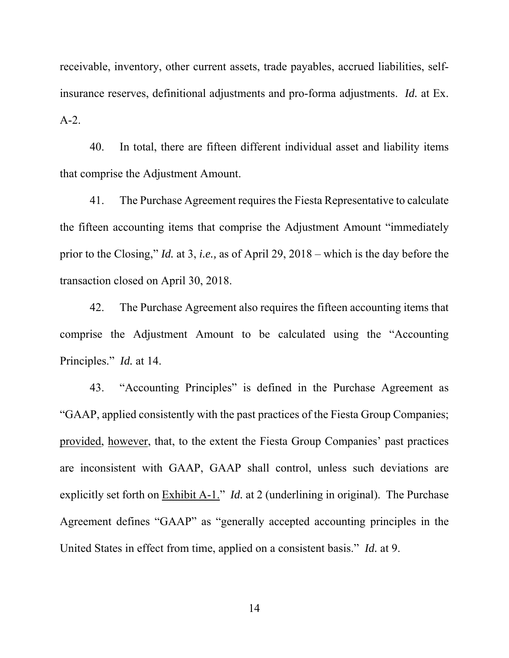receivable, inventory, other current assets, trade payables, accrued liabilities, selfinsurance reserves, definitional adjustments and pro-forma adjustments. *Id.* at Ex. A-2.

40. In total, there are fifteen different individual asset and liability items that comprise the Adjustment Amount.

41. The Purchase Agreement requires the Fiesta Representative to calculate the fifteen accounting items that comprise the Adjustment Amount "immediately prior to the Closing," *Id.* at 3, *i.e.,* as of April 29, 2018 – which is the day before the transaction closed on April 30, 2018.

42. The Purchase Agreement also requires the fifteen accounting items that comprise the Adjustment Amount to be calculated using the "Accounting Principles." *Id.* at 14.

43. "Accounting Principles" is defined in the Purchase Agreement as "GAAP, applied consistently with the past practices of the Fiesta Group Companies; provided, however, that, to the extent the Fiesta Group Companies' past practices are inconsistent with GAAP, GAAP shall control, unless such deviations are explicitly set forth on Exhibit A-1." *Id.* at 2 (underlining in original). The Purchase Agreement defines "GAAP" as "generally accepted accounting principles in the United States in effect from time, applied on a consistent basis." *Id.* at 9.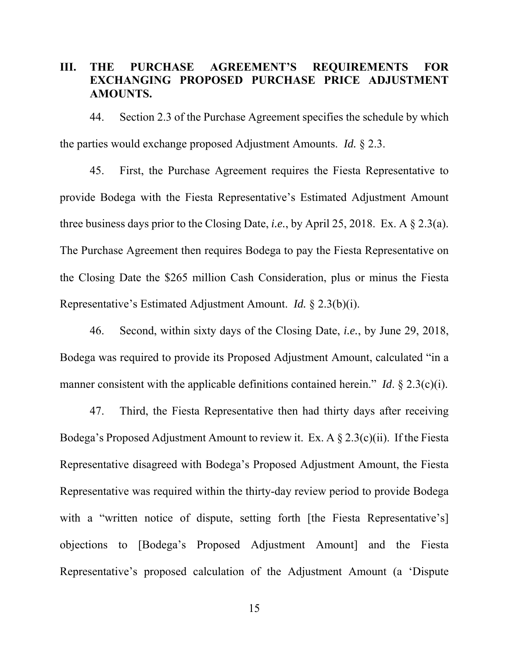# **III. THE PURCHASE AGREEMENT'S REQUIREMENTS FOR EXCHANGING PROPOSED PURCHASE PRICE ADJUSTMENT AMOUNTS.**

44. Section 2.3 of the Purchase Agreement specifies the schedule by which the parties would exchange proposed Adjustment Amounts. *Id.* § 2.3.

45. First, the Purchase Agreement requires the Fiesta Representative to provide Bodega with the Fiesta Representative's Estimated Adjustment Amount three business days prior to the Closing Date, *i.e.*, by April 25, 2018. Ex. A § 2.3(a). The Purchase Agreement then requires Bodega to pay the Fiesta Representative on the Closing Date the \$265 million Cash Consideration, plus or minus the Fiesta Representative's Estimated Adjustment Amount. *Id.* § 2.3(b)(i).

46. Second, within sixty days of the Closing Date, *i.e.*, by June 29, 2018, Bodega was required to provide its Proposed Adjustment Amount, calculated "in a manner consistent with the applicable definitions contained herein." *Id.* § 2.3(c)(i).

47. Third, the Fiesta Representative then had thirty days after receiving Bodega's Proposed Adjustment Amount to review it. Ex. A  $\S 2.3(c)(ii)$ . If the Fiesta Representative disagreed with Bodega's Proposed Adjustment Amount, the Fiesta Representative was required within the thirty-day review period to provide Bodega with a "written notice of dispute, setting forth [the Fiesta Representative's] objections to [Bodega's Proposed Adjustment Amount] and the Fiesta Representative's proposed calculation of the Adjustment Amount (a 'Dispute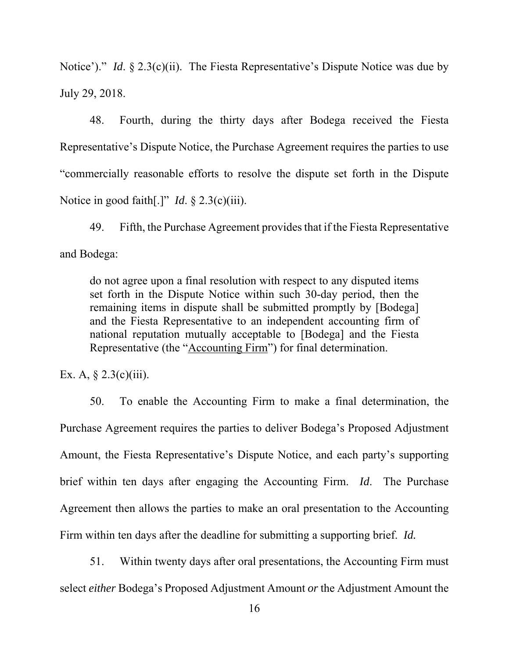Notice')." *Id.* § 2.3(c)(ii). The Fiesta Representative's Dispute Notice was due by July 29, 2018.

48. Fourth, during the thirty days after Bodega received the Fiesta Representative's Dispute Notice, the Purchase Agreement requires the parties to use "commercially reasonable efforts to resolve the dispute set forth in the Dispute Notice in good faith[.]" *Id.* § 2.3(c)(iii).

49. Fifth, the Purchase Agreement provides that if the Fiesta Representative and Bodega:

do not agree upon a final resolution with respect to any disputed items set forth in the Dispute Notice within such 30-day period, then the remaining items in dispute shall be submitted promptly by [Bodega] and the Fiesta Representative to an independent accounting firm of national reputation mutually acceptable to [Bodega] and the Fiesta Representative (the "Accounting Firm") for final determination.

Ex. A,  $\S 2.3(c)(iii)$ .

50. To enable the Accounting Firm to make a final determination, the Purchase Agreement requires the parties to deliver Bodega's Proposed Adjustment Amount, the Fiesta Representative's Dispute Notice, and each party's supporting brief within ten days after engaging the Accounting Firm. *Id*. The Purchase Agreement then allows the parties to make an oral presentation to the Accounting Firm within ten days after the deadline for submitting a supporting brief. *Id.*

51. Within twenty days after oral presentations, the Accounting Firm must select *either* Bodega's Proposed Adjustment Amount *or* the Adjustment Amount the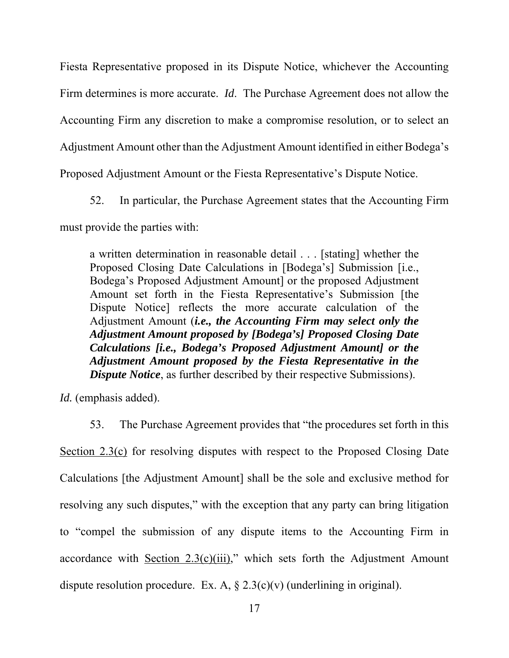Fiesta Representative proposed in its Dispute Notice, whichever the Accounting Firm determines is more accurate. *Id*. The Purchase Agreement does not allow the Accounting Firm any discretion to make a compromise resolution, or to select an Adjustment Amount other than the Adjustment Amount identified in either Bodega's Proposed Adjustment Amount or the Fiesta Representative's Dispute Notice.

52. In particular, the Purchase Agreement states that the Accounting Firm must provide the parties with:

a written determination in reasonable detail . . . [stating] whether the Proposed Closing Date Calculations in [Bodega's] Submission [i.e., Bodega's Proposed Adjustment Amount] or the proposed Adjustment Amount set forth in the Fiesta Representative's Submission [the Dispute Notice] reflects the more accurate calculation of the Adjustment Amount (*i.e., the Accounting Firm may select only the Adjustment Amount proposed by [Bodega's] Proposed Closing Date Calculations [i.e., Bodega's Proposed Adjustment Amount] or the Adjustment Amount proposed by the Fiesta Representative in the Dispute Notice*, as further described by their respective Submissions).

*Id.* (emphasis added).

53. The Purchase Agreement provides that "the procedures set forth in this Section 2.3(c) for resolving disputes with respect to the Proposed Closing Date Calculations [the Adjustment Amount] shall be the sole and exclusive method for resolving any such disputes," with the exception that any party can bring litigation to "compel the submission of any dispute items to the Accounting Firm in accordance with Section  $2.3(c)(iii)$ ," which sets forth the Adjustment Amount dispute resolution procedure. Ex. A,  $\S 2.3(c)(v)$  (underlining in original).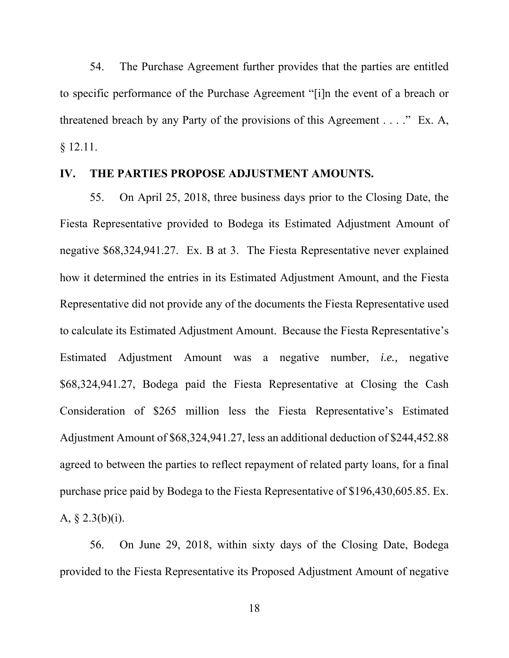54. The Purchase Agreement further provides that the parties are entitled to specific performance of the Purchase Agreement "[i]n the event of a breach or threatened breach by any Party of the provisions of this Agreement . . . ." Ex. A, § 12.11.

#### **IV. THE PARTIES PROPOSE ADJUSTMENT AMOUNTS.**

55. On April 25, 2018, three business days prior to the Closing Date, the Fiesta Representative provided to Bodega its Estimated Adjustment Amount of negative \$68,324,941.27. Ex. B at 3. The Fiesta Representative never explained how it determined the entries in its Estimated Adjustment Amount, and the Fiesta Representative did not provide any of the documents the Fiesta Representative used to calculate its Estimated Adjustment Amount. Because the Fiesta Representative's Estimated Adjustment Amount was a negative number, *i.e.,* negative \$68,324,941.27, Bodega paid the Fiesta Representative at Closing the Cash Consideration of \$265 million less the Fiesta Representative's Estimated Adjustment Amount of \$68,324,941.27, less an additional deduction of \$244,452.88 agreed to between the parties to reflect repayment of related party loans, for a final purchase price paid by Bodega to the Fiesta Representative of \$196,430,605.85. Ex. A, § 2.3(b)(i).

56. On June 29, 2018, within sixty days of the Closing Date, Bodega provided to the Fiesta Representative its Proposed Adjustment Amount of negative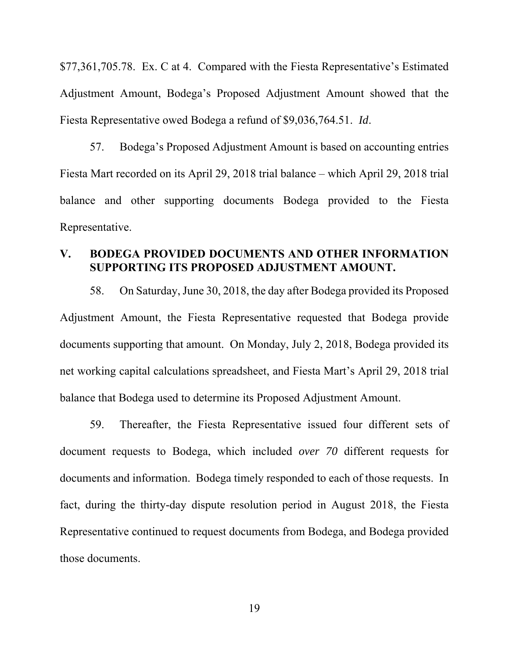\$77,361,705.78. Ex. C at 4.Compared with the Fiesta Representative's Estimated Adjustment Amount, Bodega's Proposed Adjustment Amount showed that the Fiesta Representative owed Bodega a refund of \$9,036,764.51. *Id*.

57. Bodega's Proposed Adjustment Amount is based on accounting entries Fiesta Mart recorded on its April 29, 2018 trial balance – which April 29, 2018 trial balance and other supporting documents Bodega provided to the Fiesta Representative.

### **V. BODEGA PROVIDED DOCUMENTS AND OTHER INFORMATION SUPPORTING ITS PROPOSED ADJUSTMENT AMOUNT.**

58. On Saturday, June 30, 2018, the day after Bodega provided its Proposed Adjustment Amount, the Fiesta Representative requested that Bodega provide documents supporting that amount. On Monday, July 2, 2018, Bodega provided its net working capital calculations spreadsheet, and Fiesta Mart's April 29, 2018 trial balance that Bodega used to determine its Proposed Adjustment Amount.

59. Thereafter, the Fiesta Representative issued four different sets of document requests to Bodega, which included *over 70* different requests for documents and information. Bodega timely responded to each of those requests. In fact, during the thirty-day dispute resolution period in August 2018, the Fiesta Representative continued to request documents from Bodega, and Bodega provided those documents.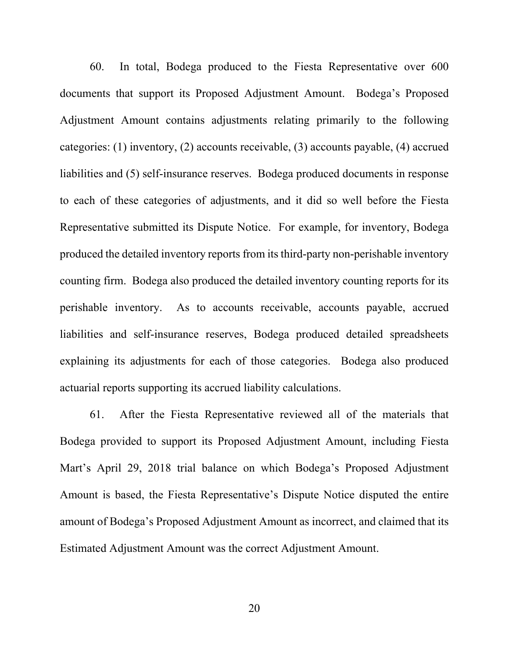60. In total, Bodega produced to the Fiesta Representative over 600 documents that support its Proposed Adjustment Amount. Bodega's Proposed Adjustment Amount contains adjustments relating primarily to the following categories: (1) inventory, (2) accounts receivable, (3) accounts payable, (4) accrued liabilities and (5) self-insurance reserves. Bodega produced documents in response to each of these categories of adjustments, and it did so well before the Fiesta Representative submitted its Dispute Notice. For example, for inventory, Bodega produced the detailed inventory reports from its third-party non-perishable inventory counting firm. Bodega also produced the detailed inventory counting reports for its perishable inventory. As to accounts receivable, accounts payable, accrued liabilities and self-insurance reserves, Bodega produced detailed spreadsheets explaining its adjustments for each of those categories. Bodega also produced actuarial reports supporting its accrued liability calculations.

61. After the Fiesta Representative reviewed all of the materials that Bodega provided to support its Proposed Adjustment Amount, including Fiesta Mart's April 29, 2018 trial balance on which Bodega's Proposed Adjustment Amount is based, the Fiesta Representative's Dispute Notice disputed the entire amount of Bodega's Proposed Adjustment Amount as incorrect, and claimed that its Estimated Adjustment Amount was the correct Adjustment Amount.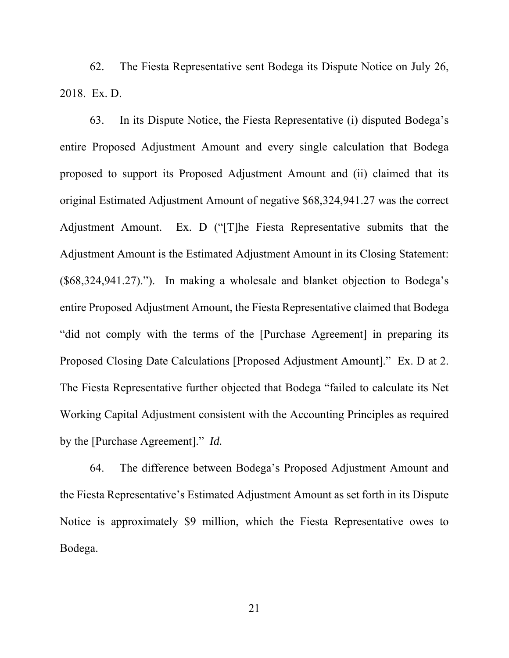62. The Fiesta Representative sent Bodega its Dispute Notice on July 26, 2018. Ex. D.

63. In its Dispute Notice, the Fiesta Representative (i) disputed Bodega's entire Proposed Adjustment Amount and every single calculation that Bodega proposed to support its Proposed Adjustment Amount and (ii) claimed that its original Estimated Adjustment Amount of negative \$68,324,941.27 was the correct Adjustment Amount. Ex. D ("[T]he Fiesta Representative submits that the Adjustment Amount is the Estimated Adjustment Amount in its Closing Statement: (\$68,324,941.27)."). In making a wholesale and blanket objection to Bodega's entire Proposed Adjustment Amount, the Fiesta Representative claimed that Bodega "did not comply with the terms of the [Purchase Agreement] in preparing its Proposed Closing Date Calculations [Proposed Adjustment Amount]." Ex. D at 2. The Fiesta Representative further objected that Bodega "failed to calculate its Net Working Capital Adjustment consistent with the Accounting Principles as required by the [Purchase Agreement]." *Id.*

64. The difference between Bodega's Proposed Adjustment Amount and the Fiesta Representative's Estimated Adjustment Amount as set forth in its Dispute Notice is approximately \$9 million, which the Fiesta Representative owes to Bodega.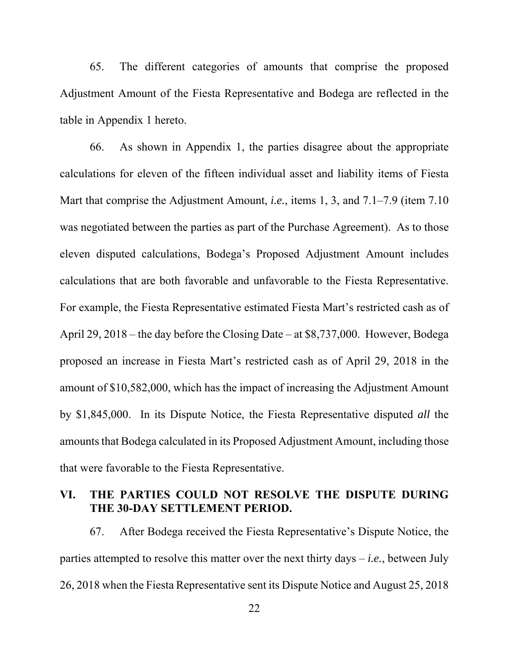65. The different categories of amounts that comprise the proposed Adjustment Amount of the Fiesta Representative and Bodega are reflected in the table in Appendix 1 hereto.

66. As shown in Appendix 1, the parties disagree about the appropriate calculations for eleven of the fifteen individual asset and liability items of Fiesta Mart that comprise the Adjustment Amount, *i.e.*, items 1, 3, and 7.1–7.9 (item 7.10 was negotiated between the parties as part of the Purchase Agreement). As to those eleven disputed calculations, Bodega's Proposed Adjustment Amount includes calculations that are both favorable and unfavorable to the Fiesta Representative. For example, the Fiesta Representative estimated Fiesta Mart's restricted cash as of April 29, 2018 – the day before the Closing Date – at \$8,737,000. However, Bodega proposed an increase in Fiesta Mart's restricted cash as of April 29, 2018 in the amount of \$10,582,000, which has the impact of increasing the Adjustment Amount by \$1,845,000. In its Dispute Notice, the Fiesta Representative disputed *all* the amounts that Bodega calculated in its Proposed Adjustment Amount, including those that were favorable to the Fiesta Representative.

### **VI. THE PARTIES COULD NOT RESOLVE THE DISPUTE DURING THE 30-DAY SETTLEMENT PERIOD.**

67. After Bodega received the Fiesta Representative's Dispute Notice, the parties attempted to resolve this matter over the next thirty days – *i.e.*, between July 26, 2018 when the Fiesta Representative sent its Dispute Notice and August 25, 2018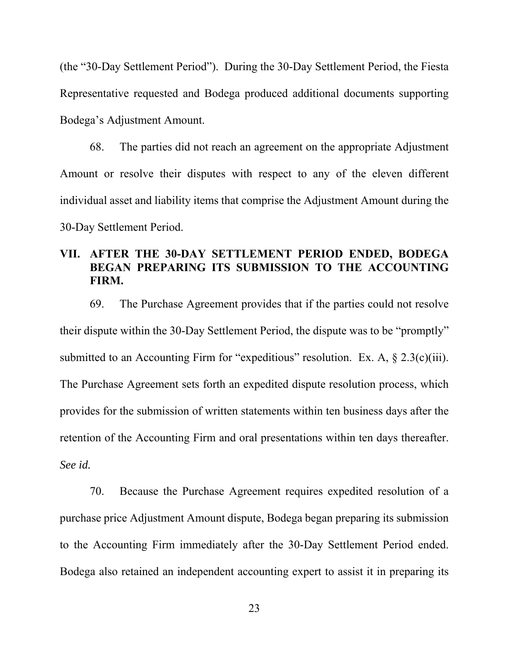(the "30-Day Settlement Period"). During the 30-Day Settlement Period, the Fiesta Representative requested and Bodega produced additional documents supporting Bodega's Adjustment Amount.

68. The parties did not reach an agreement on the appropriate Adjustment Amount or resolve their disputes with respect to any of the eleven different individual asset and liability items that comprise the Adjustment Amount during the 30-Day Settlement Period.

# **VII. AFTER THE 30-DAY SETTLEMENT PERIOD ENDED, BODEGA BEGAN PREPARING ITS SUBMISSION TO THE ACCOUNTING FIRM.**

69. The Purchase Agreement provides that if the parties could not resolve their dispute within the 30-Day Settlement Period, the dispute was to be "promptly" submitted to an Accounting Firm for "expeditious" resolution. Ex. A,  $\S 2.3(c)(iii)$ . The Purchase Agreement sets forth an expedited dispute resolution process, which provides for the submission of written statements within ten business days after the retention of the Accounting Firm and oral presentations within ten days thereafter. *See id.*

70. Because the Purchase Agreement requires expedited resolution of a purchase price Adjustment Amount dispute, Bodega began preparing its submission to the Accounting Firm immediately after the 30-Day Settlement Period ended. Bodega also retained an independent accounting expert to assist it in preparing its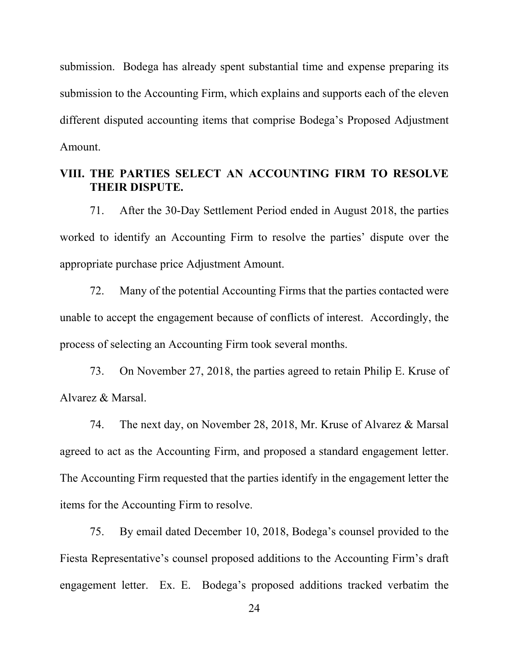submission. Bodega has already spent substantial time and expense preparing its submission to the Accounting Firm, which explains and supports each of the eleven different disputed accounting items that comprise Bodega's Proposed Adjustment Amount.

### **VIII. THE PARTIES SELECT AN ACCOUNTING FIRM TO RESOLVE THEIR DISPUTE.**

71. After the 30-Day Settlement Period ended in August 2018, the parties worked to identify an Accounting Firm to resolve the parties' dispute over the appropriate purchase price Adjustment Amount.

72. Many of the potential Accounting Firms that the parties contacted were unable to accept the engagement because of conflicts of interest. Accordingly, the process of selecting an Accounting Firm took several months.

73. On November 27, 2018, the parties agreed to retain Philip E. Kruse of Alvarez & Marsal.

74. The next day, on November 28, 2018, Mr. Kruse of Alvarez & Marsal agreed to act as the Accounting Firm, and proposed a standard engagement letter. The Accounting Firm requested that the parties identify in the engagement letter the items for the Accounting Firm to resolve.

75. By email dated December 10, 2018, Bodega's counsel provided to the Fiesta Representative's counsel proposed additions to the Accounting Firm's draft engagement letter. Ex. E. Bodega's proposed additions tracked verbatim the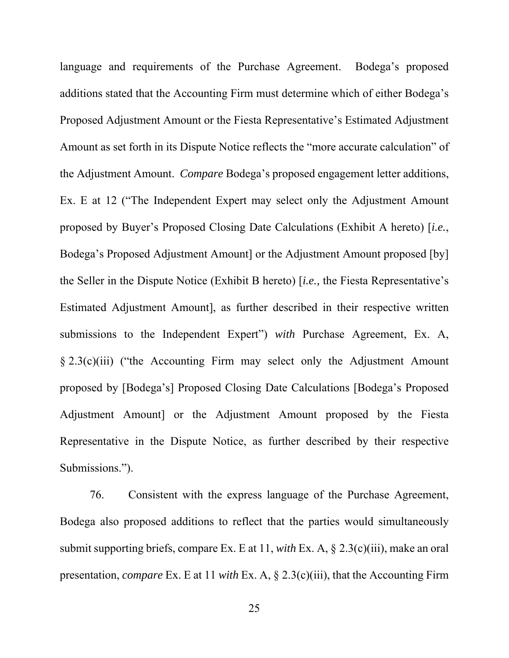language and requirements of the Purchase Agreement. Bodega's proposed additions stated that the Accounting Firm must determine which of either Bodega's Proposed Adjustment Amount or the Fiesta Representative's Estimated Adjustment Amount as set forth in its Dispute Notice reflects the "more accurate calculation" of the Adjustment Amount. *Compare* Bodega's proposed engagement letter additions, Ex. E at 12 ("The Independent Expert may select only the Adjustment Amount proposed by Buyer's Proposed Closing Date Calculations (Exhibit A hereto) [*i.e.*, Bodega's Proposed Adjustment Amount] or the Adjustment Amount proposed [by] the Seller in the Dispute Notice (Exhibit B hereto) [*i.e.,* the Fiesta Representative's Estimated Adjustment Amount], as further described in their respective written submissions to the Independent Expert") *with* Purchase Agreement, Ex. A, § 2.3(c)(iii) ("the Accounting Firm may select only the Adjustment Amount proposed by [Bodega's] Proposed Closing Date Calculations [Bodega's Proposed Adjustment Amount] or the Adjustment Amount proposed by the Fiesta Representative in the Dispute Notice, as further described by their respective Submissions.").

76. Consistent with the express language of the Purchase Agreement, Bodega also proposed additions to reflect that the parties would simultaneously submit supporting briefs, compare Ex. E at 11, *with* Ex. A, § 2.3(c)(iii), make an oral presentation, *compare* Ex. E at 11 *with* Ex. A, § 2.3(c)(iii), that the Accounting Firm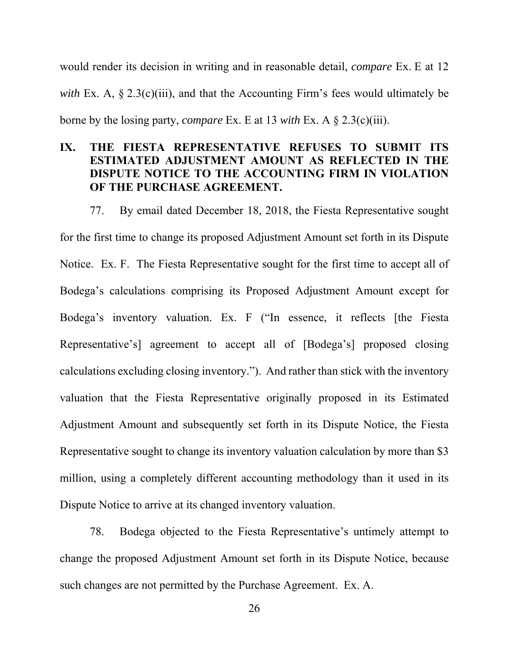would render its decision in writing and in reasonable detail, *compare* Ex. E at 12 *with* Ex. A, § 2.3(c)(iii), and that the Accounting Firm's fees would ultimately be borne by the losing party, *compare* Ex. E at 13 *with* Ex. A § 2.3(c)(iii).

# **IX. THE FIESTA REPRESENTATIVE REFUSES TO SUBMIT ITS ESTIMATED ADJUSTMENT AMOUNT AS REFLECTED IN THE DISPUTE NOTICE TO THE ACCOUNTING FIRM IN VIOLATION OF THE PURCHASE AGREEMENT.**

77. By email dated December 18, 2018, the Fiesta Representative sought for the first time to change its proposed Adjustment Amount set forth in its Dispute

Notice. Ex. F. The Fiesta Representative sought for the first time to accept all of Bodega's calculations comprising its Proposed Adjustment Amount except for Bodega's inventory valuation. Ex. F ("In essence, it reflects [the Fiesta Representative's] agreement to accept all of [Bodega's] proposed closing calculations excluding closing inventory."). And rather than stick with the inventory valuation that the Fiesta Representative originally proposed in its Estimated Adjustment Amount and subsequently set forth in its Dispute Notice, the Fiesta Representative sought to change its inventory valuation calculation by more than \$3 million, using a completely different accounting methodology than it used in its Dispute Notice to arrive at its changed inventory valuation.

78. Bodega objected to the Fiesta Representative's untimely attempt to change the proposed Adjustment Amount set forth in its Dispute Notice, because such changes are not permitted by the Purchase Agreement. Ex. A.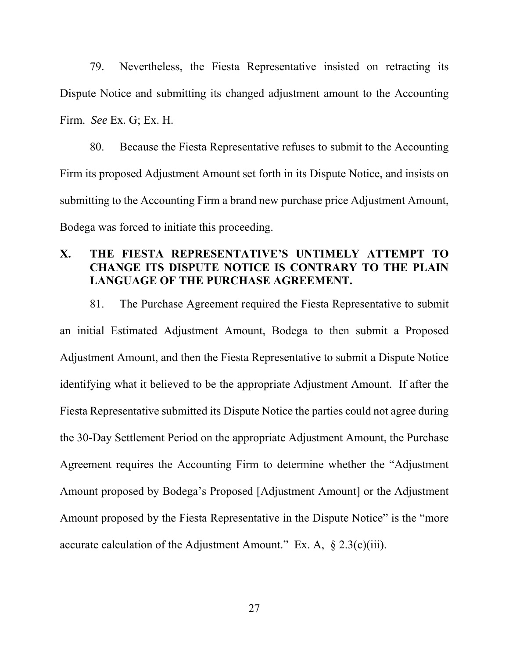79. Nevertheless, the Fiesta Representative insisted on retracting its Dispute Notice and submitting its changed adjustment amount to the Accounting Firm. *See* Ex. G; Ex. H.

80. Because the Fiesta Representative refuses to submit to the Accounting Firm its proposed Adjustment Amount set forth in its Dispute Notice, and insists on submitting to the Accounting Firm a brand new purchase price Adjustment Amount, Bodega was forced to initiate this proceeding.

## **X. THE FIESTA REPRESENTATIVE'S UNTIMELY ATTEMPT TO CHANGE ITS DISPUTE NOTICE IS CONTRARY TO THE PLAIN LANGUAGE OF THE PURCHASE AGREEMENT.**

81. The Purchase Agreement required the Fiesta Representative to submit an initial Estimated Adjustment Amount, Bodega to then submit a Proposed Adjustment Amount, and then the Fiesta Representative to submit a Dispute Notice identifying what it believed to be the appropriate Adjustment Amount. If after the Fiesta Representative submitted its Dispute Notice the parties could not agree during the 30-Day Settlement Period on the appropriate Adjustment Amount, the Purchase Agreement requires the Accounting Firm to determine whether the "Adjustment Amount proposed by Bodega's Proposed [Adjustment Amount] or the Adjustment Amount proposed by the Fiesta Representative in the Dispute Notice" is the "more accurate calculation of the Adjustment Amount." Ex. A,  $\S 2.3(c)(iii)$ .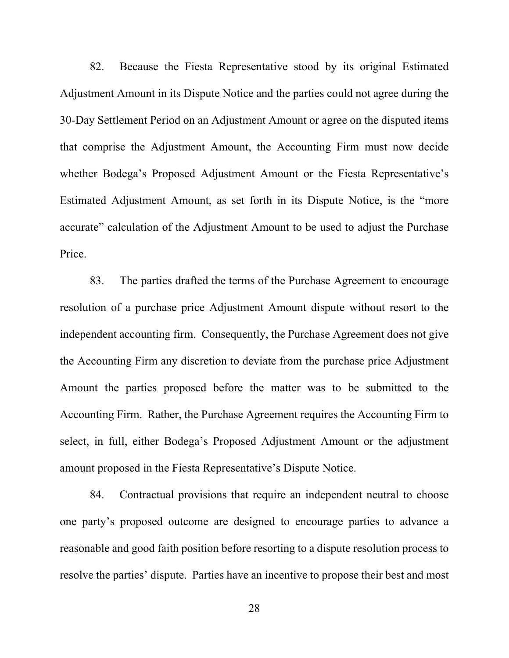82. Because the Fiesta Representative stood by its original Estimated Adjustment Amount in its Dispute Notice and the parties could not agree during the 30-Day Settlement Period on an Adjustment Amount or agree on the disputed items that comprise the Adjustment Amount, the Accounting Firm must now decide whether Bodega's Proposed Adjustment Amount or the Fiesta Representative's Estimated Adjustment Amount, as set forth in its Dispute Notice, is the "more accurate" calculation of the Adjustment Amount to be used to adjust the Purchase Price.

83. The parties drafted the terms of the Purchase Agreement to encourage resolution of a purchase price Adjustment Amount dispute without resort to the independent accounting firm. Consequently, the Purchase Agreement does not give the Accounting Firm any discretion to deviate from the purchase price Adjustment Amount the parties proposed before the matter was to be submitted to the Accounting Firm. Rather, the Purchase Agreement requires the Accounting Firm to select, in full, either Bodega's Proposed Adjustment Amount or the adjustment amount proposed in the Fiesta Representative's Dispute Notice.

84. Contractual provisions that require an independent neutral to choose one party's proposed outcome are designed to encourage parties to advance a reasonable and good faith position before resorting to a dispute resolution process to resolve the parties' dispute. Parties have an incentive to propose their best and most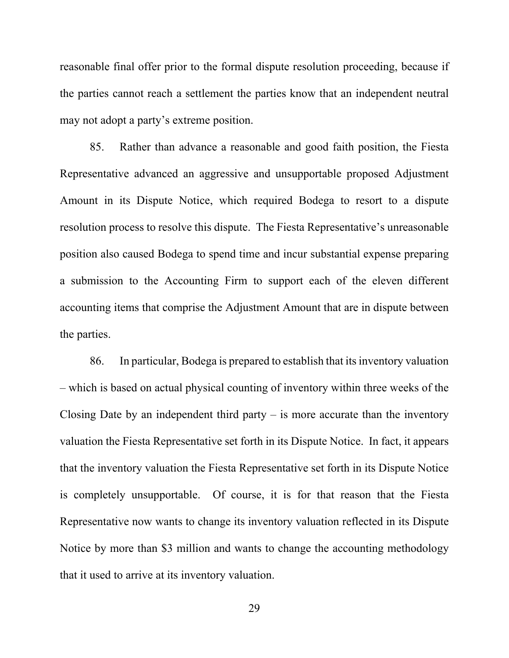reasonable final offer prior to the formal dispute resolution proceeding, because if the parties cannot reach a settlement the parties know that an independent neutral may not adopt a party's extreme position.

85. Rather than advance a reasonable and good faith position, the Fiesta Representative advanced an aggressive and unsupportable proposed Adjustment Amount in its Dispute Notice, which required Bodega to resort to a dispute resolution process to resolve this dispute. The Fiesta Representative's unreasonable position also caused Bodega to spend time and incur substantial expense preparing a submission to the Accounting Firm to support each of the eleven different accounting items that comprise the Adjustment Amount that are in dispute between the parties.

86. In particular, Bodega is prepared to establish that its inventory valuation – which is based on actual physical counting of inventory within three weeks of the Closing Date by an independent third party – is more accurate than the inventory valuation the Fiesta Representative set forth in its Dispute Notice. In fact, it appears that the inventory valuation the Fiesta Representative set forth in its Dispute Notice is completely unsupportable. Of course, it is for that reason that the Fiesta Representative now wants to change its inventory valuation reflected in its Dispute Notice by more than \$3 million and wants to change the accounting methodology that it used to arrive at its inventory valuation.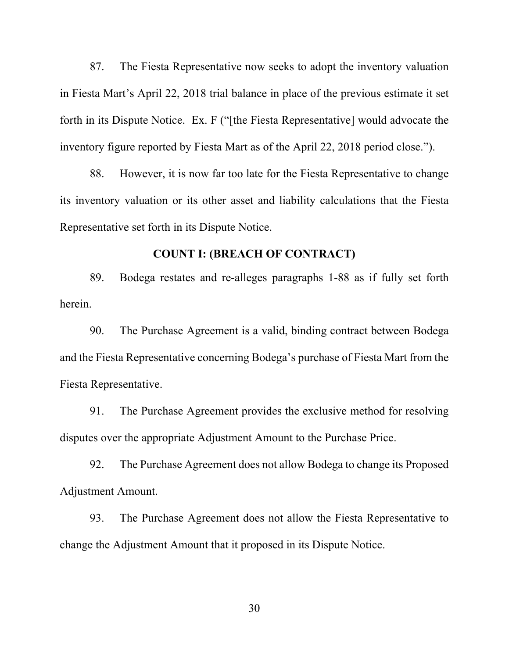87. The Fiesta Representative now seeks to adopt the inventory valuation in Fiesta Mart's April 22, 2018 trial balance in place of the previous estimate it set forth in its Dispute Notice. Ex. F ("[the Fiesta Representative] would advocate the inventory figure reported by Fiesta Mart as of the April 22, 2018 period close.").

88. However, it is now far too late for the Fiesta Representative to change its inventory valuation or its other asset and liability calculations that the Fiesta Representative set forth in its Dispute Notice.

#### **COUNT I: (BREACH OF CONTRACT)**

89. Bodega restates and re-alleges paragraphs 1-88 as if fully set forth herein.

90. The Purchase Agreement is a valid, binding contract between Bodega and the Fiesta Representative concerning Bodega's purchase of Fiesta Mart from the Fiesta Representative.

91. The Purchase Agreement provides the exclusive method for resolving disputes over the appropriate Adjustment Amount to the Purchase Price.

92. The Purchase Agreement does not allow Bodega to change its Proposed Adjustment Amount.

93. The Purchase Agreement does not allow the Fiesta Representative to change the Adjustment Amount that it proposed in its Dispute Notice.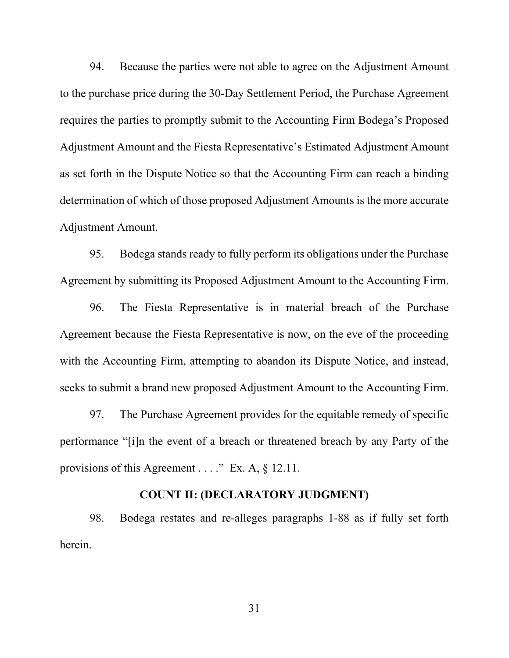94. Because the parties were not able to agree on the Adjustment Amount to the purchase price during the 30-Day Settlement Period, the Purchase Agreement requires the parties to promptly submit to the Accounting Firm Bodega's Proposed Adjustment Amount and the Fiesta Representative's Estimated Adjustment Amount as set forth in the Dispute Notice so that the Accounting Firm can reach a binding determination of which of those proposed Adjustment Amounts is the more accurate Adjustment Amount.

95. Bodega stands ready to fully perform its obligations under the Purchase Agreement by submitting its Proposed Adjustment Amount to the Accounting Firm.

96. The Fiesta Representative is in material breach of the Purchase Agreement because the Fiesta Representative is now, on the eve of the proceeding with the Accounting Firm, attempting to abandon its Dispute Notice, and instead, seeks to submit a brand new proposed Adjustment Amount to the Accounting Firm.

97. The Purchase Agreement provides for the equitable remedy of specific performance "[i]n the event of a breach or threatened breach by any Party of the provisions of this Agreement . . . . " Ex. A, § 12.11.

### **COUNT II: (DECLARATORY JUDGMENT)**

98. Bodega restates and re-alleges paragraphs 1-88 as if fully set forth herein.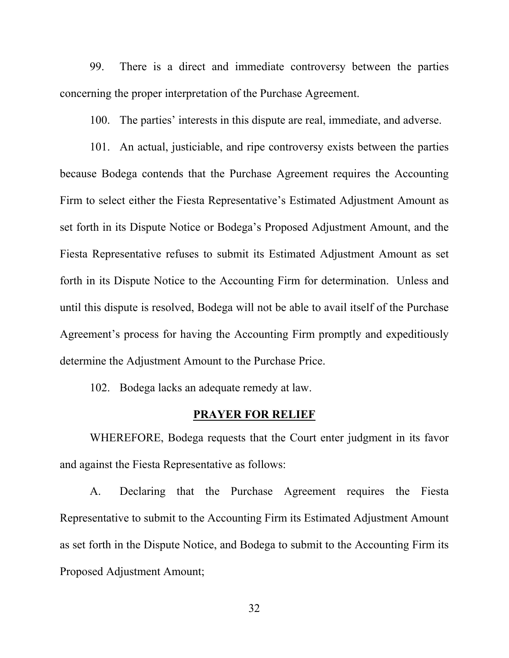99. There is a direct and immediate controversy between the parties concerning the proper interpretation of the Purchase Agreement.

100. The parties' interests in this dispute are real, immediate, and adverse.

101. An actual, justiciable, and ripe controversy exists between the parties because Bodega contends that the Purchase Agreement requires the Accounting Firm to select either the Fiesta Representative's Estimated Adjustment Amount as set forth in its Dispute Notice or Bodega's Proposed Adjustment Amount, and the Fiesta Representative refuses to submit its Estimated Adjustment Amount as set forth in its Dispute Notice to the Accounting Firm for determination. Unless and until this dispute is resolved, Bodega will not be able to avail itself of the Purchase Agreement's process for having the Accounting Firm promptly and expeditiously determine the Adjustment Amount to the Purchase Price.

102. Bodega lacks an adequate remedy at law.

#### **PRAYER FOR RELIEF**

WHEREFORE, Bodega requests that the Court enter judgment in its favor and against the Fiesta Representative as follows:

A. Declaring that the Purchase Agreement requires the Fiesta Representative to submit to the Accounting Firm its Estimated Adjustment Amount as set forth in the Dispute Notice, and Bodega to submit to the Accounting Firm its Proposed Adjustment Amount;